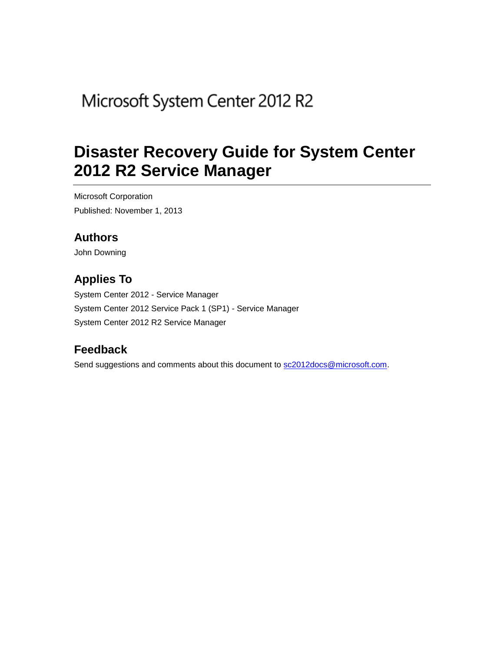# Microsoft System Center 2012 R2

# **Disaster Recovery Guide for System Center 2012 R2 Service Manager**

Microsoft Corporation Published: November 1, 2013

# **Authors**

John Downing

# **Applies To**

System Center 2012 - Service Manager System Center 2012 Service Pack 1 (SP1) - Service Manager System Center 2012 R2 Service Manager

# **Feedback**

Send suggestions and comments about this document to [sc2012docs@microsoft.com.](mailto:sc2012docs@microsoft.com?subject=%20Disaster%20Recovery%20Guide%20for%20System%20Center%202012%20–%20Service%20Manager,%20published%20November%201,%202013)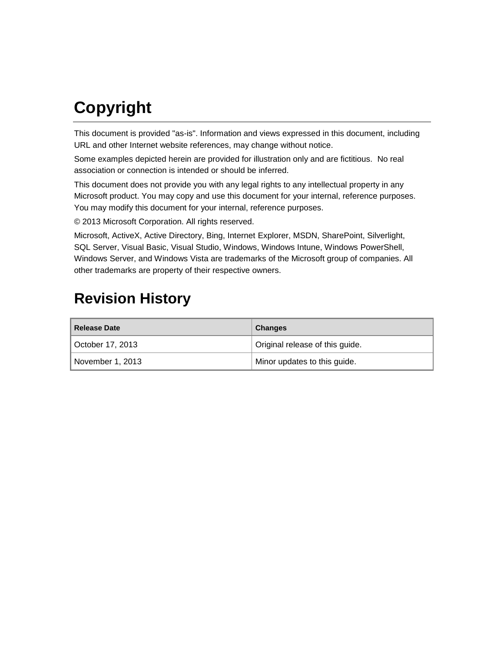# **Copyright**

This document is provided "as-is". Information and views expressed in this document, including URL and other Internet website references, may change without notice.

Some examples depicted herein are provided for illustration only and are fictitious. No real association or connection is intended or should be inferred.

This document does not provide you with any legal rights to any intellectual property in any Microsoft product. You may copy and use this document for your internal, reference purposes. You may modify this document for your internal, reference purposes.

© 2013 Microsoft Corporation. All rights reserved.

Microsoft, ActiveX, Active Directory, Bing, Internet Explorer, MSDN, SharePoint, Silverlight, SQL Server, Visual Basic, Visual Studio, Windows, Windows Intune, Windows PowerShell, Windows Server, and Windows Vista are trademarks of the Microsoft group of companies. All other trademarks are property of their respective owners.

# **Revision History**

| <b>Release Date</b> | <b>Changes</b>                  |
|---------------------|---------------------------------|
| October 17, 2013    | Original release of this guide. |
| November 1, 2013    | Minor updates to this guide.    |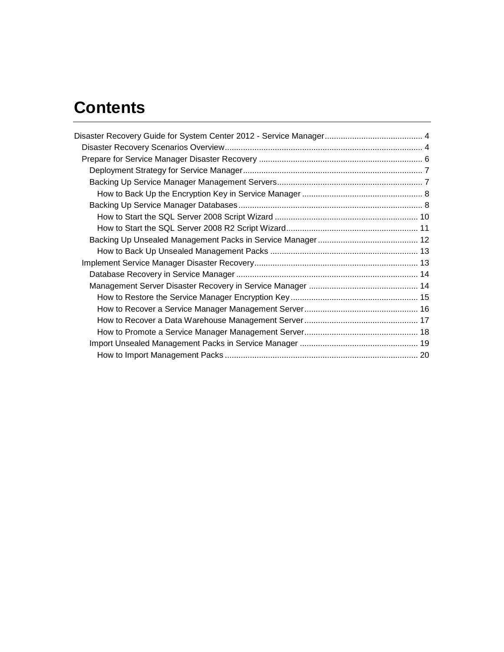# **Contents**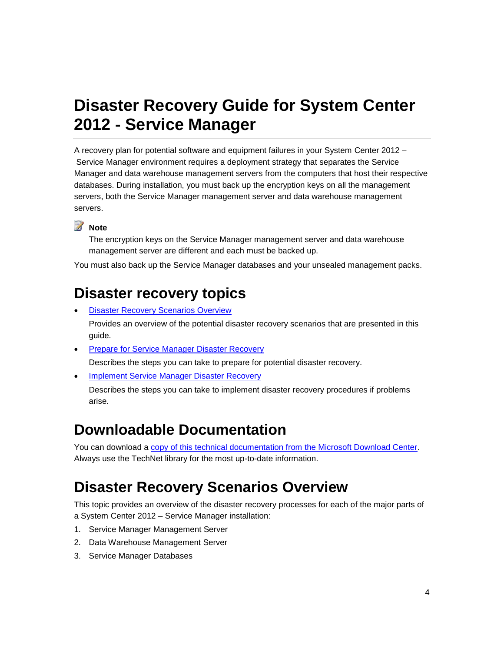# <span id="page-3-0"></span>**Disaster Recovery Guide for System Center 2012 - Service Manager**

A recovery plan for potential software and equipment failures in your System Center 2012 – Service Manager environment requires a deployment strategy that separates the Service Manager and data warehouse management servers from the computers that host their respective databases. During installation, you must back up the encryption keys on all the management servers, both the Service Manager management server and data warehouse management servers.

# **Z** Note

The encryption keys on the Service Manager management server and data warehouse management server are different and each must be backed up.

You must also back up the Service Manager databases and your unsealed management packs.

# **Disaster recovery topics**

- [Disaster Recovery Scenarios Overview](#page-3-2) Provides an overview of the potential disaster recovery scenarios that are presented in this guide.
- **[Prepare for Service Manager Disaster Recovery](#page-5-1)**

Describes the steps you can take to prepare for potential disaster recovery.

• [Implement Service Manager Disaster Recovery](#page-12-2)

<span id="page-3-2"></span>Describes the steps you can take to implement disaster recovery procedures if problems arise.

# **Downloadable Documentation**

You can download a [copy of this technical documentation from the Microsoft Download Center.](http://go.microsoft.com/fwlink/?LinkId=246620) Always use the TechNet library for the most up-to-date information.

# <span id="page-3-1"></span>**Disaster Recovery Scenarios Overview**

This topic provides an overview of the disaster recovery processes for each of the major parts of a System Center 2012 – Service Manager installation:

- 1. Service Manager Management Server
- 2. Data Warehouse Management Server
- 3. Service Manager Databases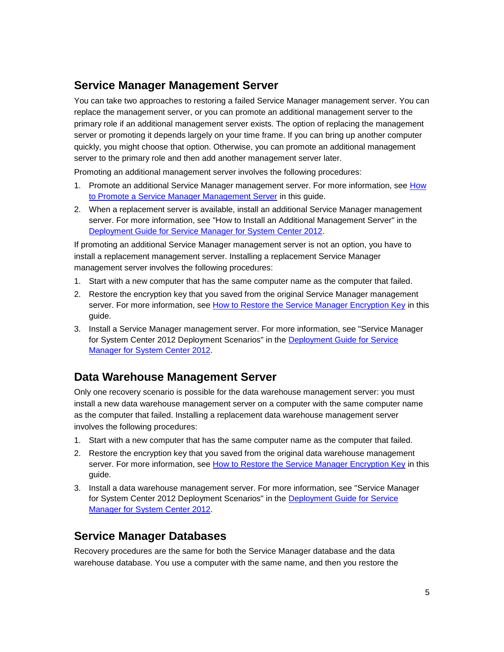# **Service Manager Management Server**

You can take two approaches to restoring a failed Service Manager management server. You can replace the management server, or you can promote an additional management server to the primary role if an additional management server exists. The option of replacing the management server or promoting it depends largely on your time frame. If you can bring up another computer quickly, you might choose that option. Otherwise, you can promote an additional management server to the primary role and then add another management server later.

Promoting an additional management server involves the following procedures:

- 1. Promote an additional Service Manager management server. For more information, see [How](#page-17-1)  [to Promote a Service Manager Management Server](#page-17-1) in this guide.
- 2. When a replacement server is available, install an additional Service Manager management server. For more information, see "How to Install an Additional Management Server" in the [Deployment Guide for Service Manager for System Center 2012.](http://go.microsoft.com/fwlink/p/?LinkId=209670)

If promoting an additional Service Manager management server is not an option, you have to install a replacement management server. Installing a replacement Service Manager management server involves the following procedures:

- 1. Start with a new computer that has the same computer name as the computer that failed.
- 2. Restore the encryption key that you saved from the original Service Manager management server. For more information, see [How to Restore the Service Manager Encryption Key](#page-14-1) in this guide.
- 3. Install a Service Manager management server. For more information, see "Service Manager for System Center 2012 Deployment Scenarios" in the Deployment Guide for Service [Manager for System Center 2012.](http://go.microsoft.com/fwlink/p/?LinkID=209670)

# **Data Warehouse Management Server**

Only one recovery scenario is possible for the data warehouse management server: you must install a new data warehouse management server on a computer with the same computer name as the computer that failed. Installing a replacement data warehouse management server involves the following procedures:

- 1. Start with a new computer that has the same computer name as the computer that failed.
- 2. Restore the encryption key that you saved from the original data warehouse management server. For more information, see [How to Restore the Service Manager Encryption Key](#page-14-1) in this guide.
- 3. Install a data warehouse management server. For more information, see "Service Manager for System Center 2012 Deployment Scenarios" in the [Deployment Guide for Service](http://go.microsoft.com/fwlink/p/?LinkID=209670)  [Manager for System Center 2012.](http://go.microsoft.com/fwlink/p/?LinkID=209670)

# **Service Manager Databases**

Recovery procedures are the same for both the Service Manager database and the data warehouse database. You use a computer with the same name, and then you restore the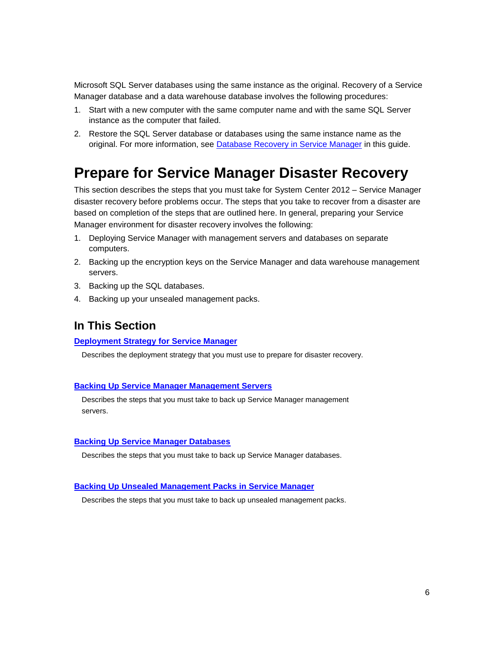Microsoft SQL Server databases using the same instance as the original. Recovery of a Service Manager database and a data warehouse database involves the following procedures:

- 1. Start with a new computer with the same computer name and with the same SQL Server instance as the computer that failed.
- <span id="page-5-1"></span>2. Restore the SQL Server database or databases using the same instance name as the original. For more information, see [Database Recovery in Service Manager](#page-13-2) in this guide.

# <span id="page-5-0"></span>**Prepare for Service Manager Disaster Recovery**

This section describes the steps that you must take for System Center 2012 – Service Manager disaster recovery before problems occur. The steps that you take to recover from a disaster are based on completion of the steps that are outlined here. In general, preparing your Service Manager environment for disaster recovery involves the following:

- 1. Deploying Service Manager with management servers and databases on separate computers.
- 2. Backing up the encryption keys on the Service Manager and data warehouse management servers.
- 3. Backing up the SQL databases.
- 4. Backing up your unsealed management packs.

## **In This Section**

#### **[Deployment Strategy for Service Manager](#page-6-2)**

Describes the deployment strategy that you must use to prepare for disaster recovery.

#### **[Backing Up Service Manager Management Servers](#page-6-3)**

Describes the steps that you must take to back up Service Manager management servers.

#### **[Backing Up Service Manager Databases](#page-7-2)**

Describes the steps that you must take to back up Service Manager databases.

#### **[Backing Up Unsealed Management Packs](#page-11-1) in Service Manager**

Describes the steps that you must take to back up unsealed management packs.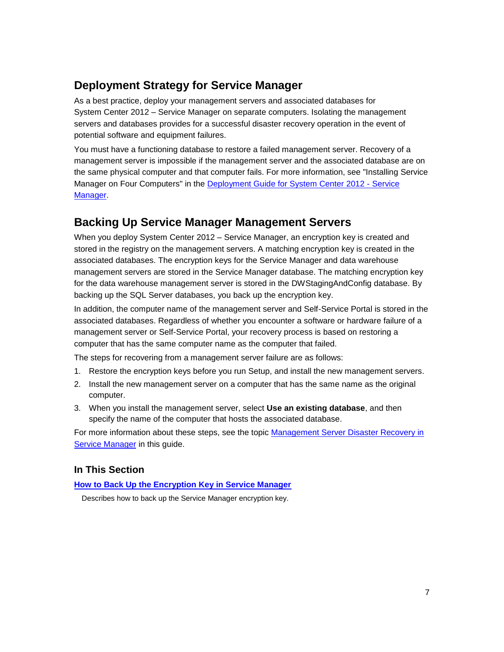# <span id="page-6-2"></span><span id="page-6-0"></span>**Deployment Strategy for Service Manager**

As a best practice, deploy your management servers and associated databases for System Center 2012 – Service Manager on separate computers. Isolating the management servers and databases provides for a successful disaster recovery operation in the event of potential software and equipment failures.

You must have a functioning database to restore a failed management server. Recovery of a management server is impossible if the management server and the associated database are on the same physical computer and that computer fails. For more information, see "Installing Service Manager on Four Computers" in the [Deployment Guide for System Center 2012 -](http://go.microsoft.com/fwlink/p/?LinkID=209670) Service [Manager.](http://go.microsoft.com/fwlink/p/?LinkID=209670)

# <span id="page-6-3"></span><span id="page-6-1"></span>**Backing Up Service Manager Management Servers**

When you deploy System Center 2012 – Service Manager, an encryption key is created and stored in the registry on the management servers. A matching encryption key is created in the associated databases. The encryption keys for the Service Manager and data warehouse management servers are stored in the Service Manager database. The matching encryption key for the data warehouse management server is stored in the DWStagingAndConfig database. By backing up the SQL Server databases, you back up the encryption key.

In addition, the computer name of the management server and Self-Service Portal is stored in the associated databases. Regardless of whether you encounter a software or hardware failure of a management server or Self-Service Portal, your recovery process is based on restoring a computer that has the same computer name as the computer that failed.

The steps for recovering from a management server failure are as follows:

- 1. Restore the encryption keys before you run Setup, and install the new management servers.
- 2. Install the new management server on a computer that has the same name as the original computer.
- 3. When you install the management server, select **Use an existing database**, and then specify the name of the computer that hosts the associated database.

For more information about these steps, see the topic [Management Server Disaster Recovery in](#page-13-3)  [Service Manager](#page-13-3) in this guide.

## **In This Section**

**[How to Back Up the Encryption Key in Service Manager](#page-7-3)**

Describes how to back up the Service Manager encryption key.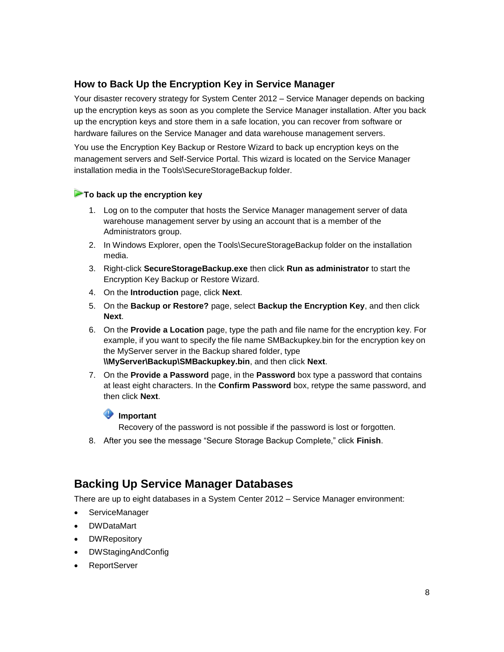## <span id="page-7-3"></span><span id="page-7-0"></span>**How to Back Up the Encryption Key in Service Manager**

Your disaster recovery strategy for System Center 2012 – Service Manager depends on backing up the encryption keys as soon as you complete the Service Manager installation. After you back up the encryption keys and store them in a safe location, you can recover from software or hardware failures on the Service Manager and data warehouse management servers.

You use the Encryption Key Backup or Restore Wizard to back up encryption keys on the management servers and Self-Service Portal. This wizard is located on the Service Manager installation media in the Tools\SecureStorageBackup folder.

#### **To back up the encryption key**

- 1. Log on to the computer that hosts the Service Manager management server of data warehouse management server by using an account that is a member of the Administrators group.
- 2. In Windows Explorer, open the Tools\SecureStorageBackup folder on the installation media.
- 3. Right-click **SecureStorageBackup.exe** then click **Run as administrator** to start the Encryption Key Backup or Restore Wizard.
- 4. On the **Introduction** page, click **Next**.
- 5. On the **Backup or Restore?** page, select **Backup the Encryption Key**, and then click **Next**.
- 6. On the **Provide a Location** page, type the path and file name for the encryption key. For example, if you want to specify the file name SMBackupkey.bin for the encryption key on the MyServer server in the Backup shared folder, type **\\MyServer\Backup\SMBackupkey.bin**, and then click **Next**.
- 7. On the **Provide a Password** page, in the **Password** box type a password that contains at least eight characters. In the **Confirm Password** box, retype the same password, and then click **Next**.

### **Important**

<span id="page-7-2"></span>Recovery of the password is not possible if the password is lost or forgotten.

8. After you see the message "Secure Storage Backup Complete," click **Finish**.

# <span id="page-7-1"></span>**Backing Up Service Manager Databases**

There are up to eight databases in a System Center 2012 – Service Manager environment:

- ServiceManager
- DWDataMart
- **DWRepository**
- DWStagingAndConfig
- ReportServer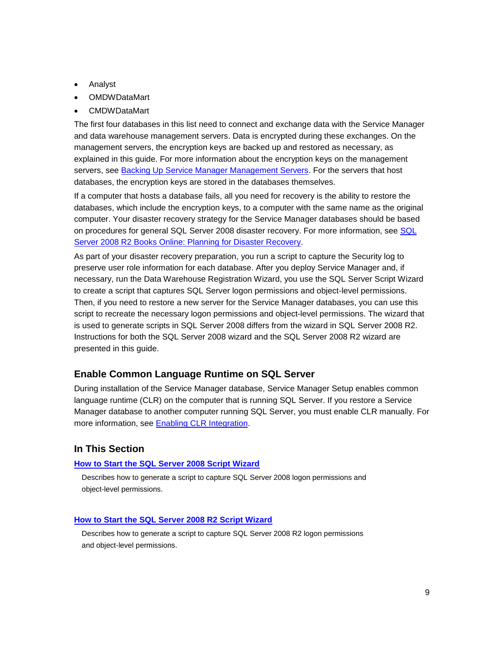- Analyst
- OMDWDataMart
- CMDWDataMart

The first four databases in this list need to connect and exchange data with the Service Manager and data warehouse management servers. Data is encrypted during these exchanges. On the management servers, the encryption keys are backed up and restored as necessary, as explained in this guide. For more information about the encryption keys on the management servers, see [Backing Up Service Manager Management Servers.](#page-6-3) For the servers that host databases, the encryption keys are stored in the databases themselves.

If a computer that hosts a database fails, all you need for recovery is the ability to restore the databases, which include the encryption keys, to a computer with the same name as the original computer. Your disaster recovery strategy for the Service Manager databases should be based on procedures for general [SQL](http://go.microsoft.com/fwlink/p/?LinkID=131016) Server 2008 disaster recovery. For more information, see SQL [Server 2008 R2 Books Online: Planning for Disaster Recovery.](http://go.microsoft.com/fwlink/p/?LinkID=131016)

As part of your disaster recovery preparation, you run a script to capture the Security log to preserve user role information for each database. After you deploy Service Manager and, if necessary, run the Data Warehouse Registration Wizard, you use the SQL Server Script Wizard to create a script that captures SQL Server logon permissions and object-level permissions. Then, if you need to restore a new server for the Service Manager databases, you can use this script to recreate the necessary logon permissions and object-level permissions. The wizard that is used to generate scripts in SQL Server 2008 differs from the wizard in SQL Server 2008 R2. Instructions for both the SQL Server 2008 wizard and the SQL Server 2008 R2 wizard are presented in this guide.

### **Enable Common Language Runtime on SQL Server**

During installation of the Service Manager database, Service Manager Setup enables common language runtime (CLR) on the computer that is running SQL Server. If you restore a Service Manager database to another computer running SQL Server, you must enable CLR manually. For more information, see [Enabling CLR Integration.](http://go.microsoft.com/fwlink/p/?LinkId=217932)

### **In This Section**

#### **[How to Start the SQL Server 2008 Script Wizard](#page-9-1)**

Describes how to generate a script to capture SQL Server 2008 logon permissions and object-level permissions.

#### **[How to Start the SQL Server 2008 R2 Script Wizard](#page-10-1)**

Describes how to generate a script to capture SQL Server 2008 R2 logon permissions and object-level permissions.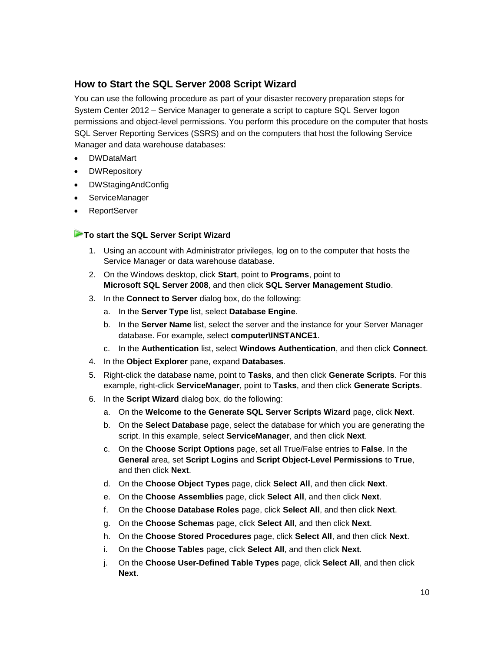## <span id="page-9-1"></span><span id="page-9-0"></span>**How to Start the SQL Server 2008 Script Wizard**

You can use the following procedure as part of your disaster recovery preparation steps for System Center 2012 – Service Manager to generate a script to capture SQL Server logon permissions and object-level permissions. You perform this procedure on the computer that hosts SQL Server Reporting Services (SSRS) and on the computers that host the following Service Manager and data warehouse databases:

- **DWDataMart**
- **DWRepository**
- DWStagingAndConfig
- ServiceManager
- ReportServer

### **To start the SQL Server Script Wizard**

- 1. Using an account with Administrator privileges, log on to the computer that hosts the Service Manager or data warehouse database.
- 2. On the Windows desktop, click **Start**, point to **Programs**, point to **Microsoft SQL Server 2008**, and then click **SQL Server Management Studio**.
- 3. In the **Connect to Server** dialog box, do the following:
	- a. In the **Server Type** list, select **Database Engine**.
	- b. In the **Server Name** list, select the server and the instance for your Server Manager database. For example, select **computer\INSTANCE1**.
	- c. In the **Authentication** list, select **Windows Authentication**, and then click **Connect**.
- 4. In the **Object Explorer** pane, expand **Databases**.
- 5. Right-click the database name, point to **Tasks**, and then click **Generate Scripts**. For this example, right-click **ServiceManager**, point to **Tasks**, and then click **Generate Scripts**.
- 6. In the **Script Wizard** dialog box, do the following:
	- a. On the **Welcome to the Generate SQL Server Scripts Wizard** page, click **Next**.
	- b. On the **Select Database** page, select the database for which you are generating the script. In this example, select **ServiceManager**, and then click **Next**.
	- c. On the **Choose Script Options** page, set all True/False entries to **False**. In the **General** area, set **Script Logins** and **Script Object-Level Permissions** to **True**, and then click **Next**.
	- d. On the **Choose Object Types** page, click **Select All**, and then click **Next**.
	- e. On the **Choose Assemblies** page, click **Select All**, and then click **Next**.
	- f. On the **Choose Database Roles** page, click **Select All**, and then click **Next**.
	- g. On the **Choose Schemas** page, click **Select All**, and then click **Next**.
	- h. On the **Choose Stored Procedures** page, click **Select All**, and then click **Next**.
	- i. On the **Choose Tables** page, click **Select All**, and then click **Next**.
	- j. On the **Choose User-Defined Table Types** page, click **Select All**, and then click **Next**.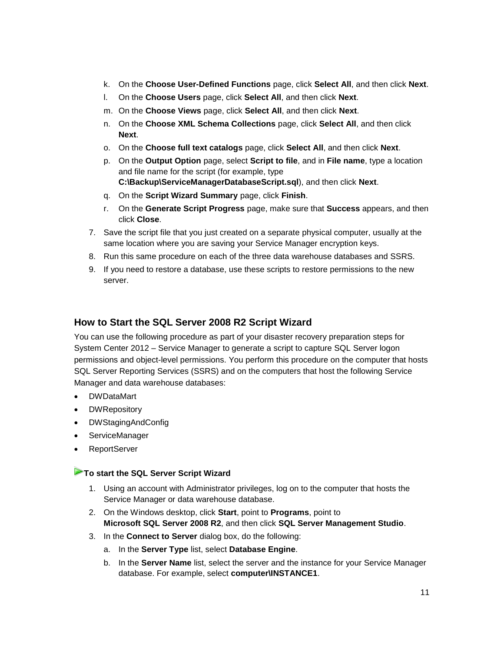- k. On the **Choose User-Defined Functions** page, click **Select All**, and then click **Next**.
- l. On the **Choose Users** page, click **Select All**, and then click **Next**.
- m. On the **Choose Views** page, click **Select All**, and then click **Next**.
- n. On the **Choose XML Schema Collections** page, click **Select All**, and then click **Next**.
- o. On the **Choose full text catalogs** page, click **Select All**, and then click **Next**.
- p. On the **Output Option** page, select **Script to file**, and in **File name**, type a location and file name for the script (for example, type **C:\Backup\ServiceManagerDatabaseScript.sql**), and then click **Next**.
- q. On the **Script Wizard Summary** page, click **Finish**.
- r. On the **Generate Script Progress** page, make sure that **Success** appears, and then click **Close**.
- 7. Save the script file that you just created on a separate physical computer, usually at the same location where you are saving your Service Manager encryption keys.
- 8. Run this same procedure on each of the three data warehouse databases and SSRS.
- <span id="page-10-1"></span>9. If you need to restore a database, use these scripts to restore permissions to the new server.

## <span id="page-10-0"></span>**How to Start the SQL Server 2008 R2 Script Wizard**

You can use the following procedure as part of your disaster recovery preparation steps for System Center 2012 – Service Manager to generate a script to capture SQL Server logon permissions and object-level permissions. You perform this procedure on the computer that hosts SQL Server Reporting Services (SSRS) and on the computers that host the following Service Manager and data warehouse databases:

- DWDataMart
- **DWRepository**
- DWStagingAndConfig
- ServiceManager
- ReportServer

#### **To start the SQL Server Script Wizard**

- 1. Using an account with Administrator privileges, log on to the computer that hosts the Service Manager or data warehouse database.
- 2. On the Windows desktop, click **Start**, point to **Programs**, point to **Microsoft SQL Server 2008 R2**, and then click **SQL Server Management Studio**.
- 3. In the **Connect to Server** dialog box, do the following:
	- a. In the **Server Type** list, select **Database Engine**.
	- b. In the **Server Name** list, select the server and the instance for your Service Manager database. For example, select **computer\INSTANCE1**.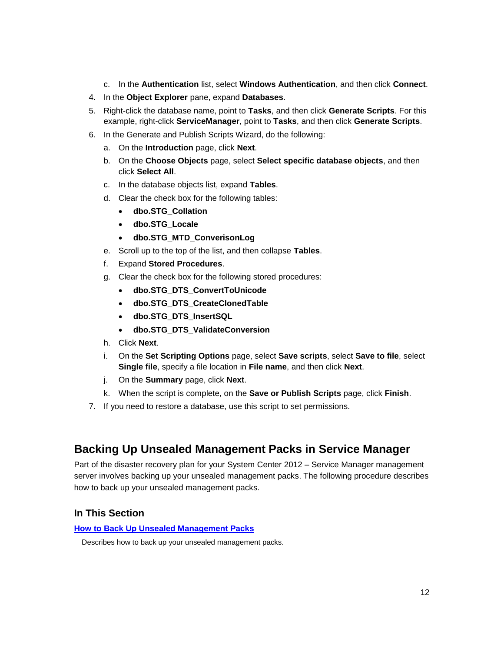- c. In the **Authentication** list, select **Windows Authentication**, and then click **Connect**.
- 4. In the **Object Explorer** pane, expand **Databases**.
- 5. Right-click the database name, point to **Tasks**, and then click **Generate Scripts**. For this example, right-click **ServiceManager**, point to **Tasks**, and then click **Generate Scripts**.
- 6. In the Generate and Publish Scripts Wizard, do the following:
	- a. On the **Introduction** page, click **Next**.
	- b. On the **Choose Objects** page, select **Select specific database objects**, and then click **Select All**.
	- c. In the database objects list, expand **Tables**.
	- d. Clear the check box for the following tables:
		- **dbo.STG\_Collation**
		- **dbo.STG\_Locale**
		- **dbo.STG\_MTD\_ConverisonLog**
	- e. Scroll up to the top of the list, and then collapse **Tables**.
	- f. Expand **Stored Procedures**.
	- g. Clear the check box for the following stored procedures:
		- **dbo.STG\_DTS\_ConvertToUnicode**
		- **dbo.STG\_DTS\_CreateClonedTable**
		- **dbo.STG\_DTS\_InsertSQL**
		- **dbo.STG\_DTS\_ValidateConversion**
	- h. Click **Next**.
	- i. On the **Set Scripting Options** page, select **Save scripts**, select **Save to file**, select **Single file**, specify a file location in **File name**, and then click **Next**.
	- j. On the **Summary** page, click **Next**.
	- k. When the script is complete, on the **Save or Publish Scripts** page, click **Finish**.
- <span id="page-11-1"></span>7. If you need to restore a database, use this script to set permissions.

# <span id="page-11-0"></span>**Backing Up Unsealed Management Packs in Service Manager**

Part of the disaster recovery plan for your System Center 2012 – Service Manager management server involves backing up your unsealed management packs. The following procedure describes how to back up your unsealed management packs.

### **In This Section**

#### **[How to Back Up Unsealed Management Packs](#page-12-3)**

Describes how to back up your unsealed management packs.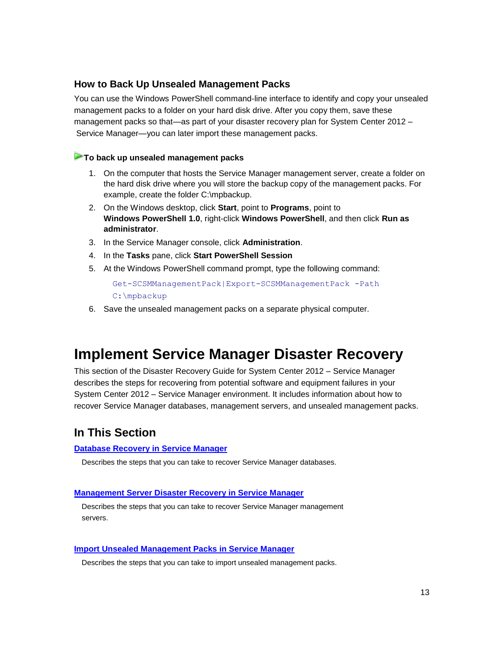## <span id="page-12-3"></span><span id="page-12-0"></span>**How to Back Up Unsealed Management Packs**

You can use the Windows PowerShell command-line interface to identify and copy your unsealed management packs to a folder on your hard disk drive. After you copy them, save these management packs so that—as part of your disaster recovery plan for System Center 2012 – Service Manager—you can later import these management packs.

#### **To back up unsealed management packs**

- 1. On the computer that hosts the Service Manager management server, create a folder on the hard disk drive where you will store the backup copy of the management packs. For example, create the folder C:\mpbackup.
- 2. On the Windows desktop, click **Start**, point to **Programs**, point to **Windows PowerShell 1.0**, right-click **Windows PowerShell**, and then click **Run as administrator**.
- 3. In the Service Manager console, click **Administration**.
- 4. In the **Tasks** pane, click **Start PowerShell Session**
- 5. At the Windows PowerShell command prompt, type the following command:

<span id="page-12-2"></span>Get-SCSMManagementPack|Export-SCSMManagementPack -Path C:\mpbackup

6. Save the unsealed management packs on a separate physical computer.

# <span id="page-12-1"></span>**Implement Service Manager Disaster Recovery**

This section of the Disaster Recovery Guide for System Center 2012 – Service Manager describes the steps for recovering from potential software and equipment failures in your System Center 2012 – Service Manager environment. It includes information about how to recover Service Manager databases, management servers, and unsealed management packs.

## **In This Section**

#### **[Database Recovery in Service Manager](#page-13-2)**

Describes the steps that you can take to recover Service Manager databases.

#### **[Management Server Disaster Recovery in Service Manager](#page-13-3)**

Describes the steps that you can take to recover Service Manager management servers.

#### **[Import Unsealed Management Packs in Service Manager](#page-18-1)**

Describes the steps that you can take to import unsealed management packs.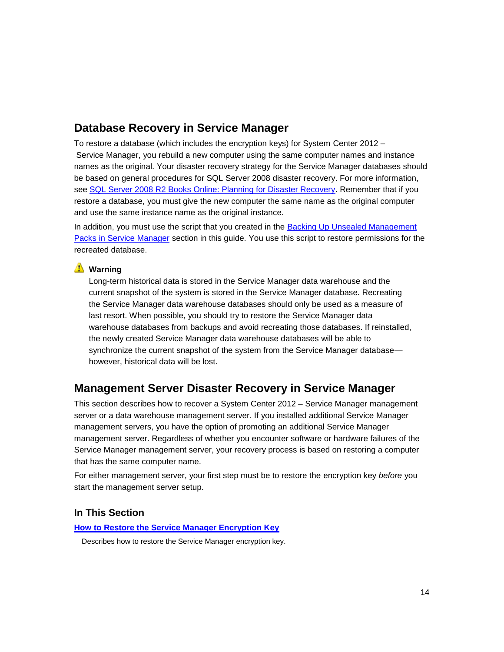# <span id="page-13-2"></span><span id="page-13-0"></span>**Database Recovery in Service Manager**

To restore a database (which includes the encryption keys) for System Center 2012 – Service Manager, you rebuild a new computer using the same computer names and instance names as the original. Your disaster recovery strategy for the Service Manager databases should be based on general procedures for SQL Server 2008 disaster recovery. For more information, see [SQL Server 2008 R2 Books Online: Planning for Disaster Recovery.](http://go.microsoft.com/fwlink/p/?LinkID=131016) Remember that if you restore a database, you must give the new computer the same name as the original computer and use the same instance name as the original instance.

In addition, you must use the script that you created in the **Backing Up Unsealed Management** [Packs in Service Manager](#page-11-1) section in this guide. You use this script to restore permissions for the recreated database.

## **Warning**

<span id="page-13-3"></span>Long-term historical data is stored in the Service Manager data warehouse and the current snapshot of the system is stored in the Service Manager database. Recreating the Service Manager data warehouse databases should only be used as a measure of last resort. When possible, you should try to restore the Service Manager data warehouse databases from backups and avoid recreating those databases. If reinstalled, the newly created Service Manager data warehouse databases will be able to synchronize the current snapshot of the system from the Service Manager database however, historical data will be lost.

# <span id="page-13-1"></span>**Management Server Disaster Recovery in Service Manager**

This section describes how to recover a System Center 2012 – Service Manager management server or a data warehouse management server. If you installed additional Service Manager management servers, you have the option of promoting an additional Service Manager management server. Regardless of whether you encounter software or hardware failures of the Service Manager management server, your recovery process is based on restoring a computer that has the same computer name.

For either management server, your first step must be to restore the encryption key *before* you start the management server setup.

### **In This Section**

#### **[How to Restore the Service Manager Encryption Key](#page-14-1)**

Describes how to restore the Service Manager encryption key.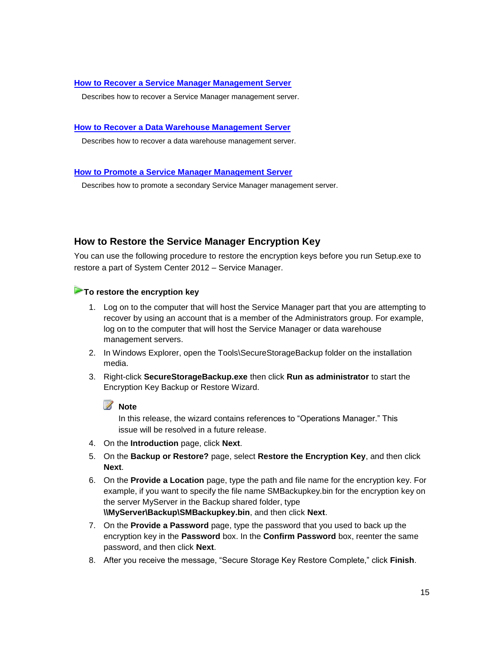#### **[How to Recover a Service Manager Management Server](#page-15-1)**

Describes how to recover a Service Manager management server.

#### **[How to Recover a Data Warehouse Management Server](#page-16-1)**

Describes how to recover a data warehouse management server.

#### **[How to Promote a Service Manager Management Server](#page-17-1)**

<span id="page-14-1"></span>Describes how to promote a secondary Service Manager management server.

## <span id="page-14-0"></span>**How to Restore the Service Manager Encryption Key**

You can use the following procedure to restore the encryption keys before you run Setup.exe to restore a part of System Center 2012 – Service Manager.

### **To restore the encryption key**

- 1. Log on to the computer that will host the Service Manager part that you are attempting to recover by using an account that is a member of the Administrators group. For example, log on to the computer that will host the Service Manager or data warehouse management servers.
- 2. In Windows Explorer, open the Tools\SecureStorageBackup folder on the installation media.
- 3. Right-click **SecureStorageBackup.exe** then click **Run as administrator** to start the Encryption Key Backup or Restore Wizard.

**Z** Note

In this release, the wizard contains references to "Operations Manager." This issue will be resolved in a future release.

- 4. On the **Introduction** page, click **Next**.
- 5. On the **Backup or Restore?** page, select **Restore the Encryption Key**, and then click **Next**.
- 6. On the **Provide a Location** page, type the path and file name for the encryption key. For example, if you want to specify the file name SMBackupkey.bin for the encryption key on the server MyServer in the Backup shared folder, type **\\MyServer\Backup\SMBackupkey.bin**, and then click **Next**.
- 7. On the **Provide a Password** page, type the password that you used to back up the encryption key in the **Password** box. In the **Confirm Password** box, reenter the same password, and then click **Next**.
- 8. After you receive the message, "Secure Storage Key Restore Complete," click **Finish**.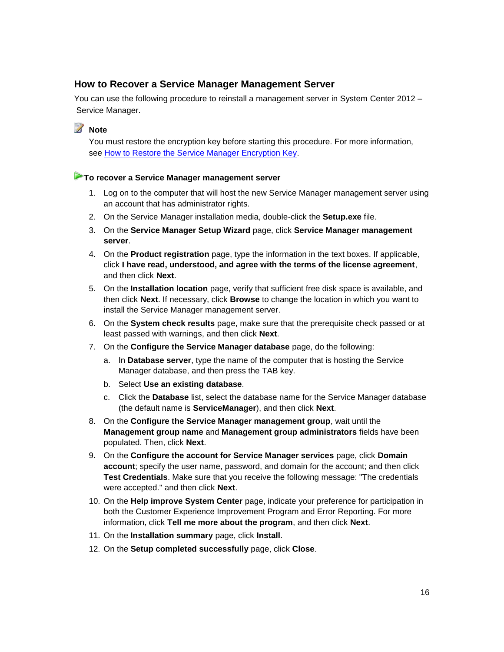## <span id="page-15-0"></span>**How to Recover a Service Manager Management Server**

You can use the following procedure to reinstall a management server in System Center 2012 – Service Manager.

**Z** Note

<span id="page-15-1"></span>You must restore the encryption key before starting this procedure. For more information, see [How to Restore the Service Manager Encryption Key.](#page-14-1)

#### **To recover a Service Manager management server**

- 1. Log on to the computer that will host the new Service Manager management server using an account that has administrator rights.
- 2. On the Service Manager installation media, double-click the **Setup.exe** file.
- 3. On the **Service Manager Setup Wizard** page, click **Service Manager management server**.
- 4. On the **Product registration** page, type the information in the text boxes. If applicable, click **I have read, understood, and agree with the terms of the license agreement**, and then click **Next**.
- 5. On the **Installation location** page, verify that sufficient free disk space is available, and then click **Next**. If necessary, click **Browse** to change the location in which you want to install the Service Manager management server.
- 6. On the **System check results** page, make sure that the prerequisite check passed or at least passed with warnings, and then click **Next**.
- 7. On the **Configure the Service Manager database** page, do the following:
	- a. In **Database server**, type the name of the computer that is hosting the Service Manager database, and then press the TAB key.
	- b. Select **Use an existing database**.
	- c. Click the **Database** list, select the database name for the Service Manager database (the default name is **ServiceManager**), and then click **Next**.
- 8. On the **Configure the Service Manager management group**, wait until the **Management group name** and **Management group administrators** fields have been populated. Then, click **Next**.
- 9. On the **Configure the account for Service Manager services** page, click **Domain account**; specify the user name, password, and domain for the account; and then click **Test Credentials**. Make sure that you receive the following message: "The credentials were accepted." and then click **Next**.
- 10. On the **Help improve System Center** page, indicate your preference for participation in both the Customer Experience Improvement Program and Error Reporting. For more information, click **Tell me more about the program**, and then click **Next**.
- 11. On the **Installation summary** page, click **Install**.
- 12. On the **Setup completed successfully** page, click **Close**.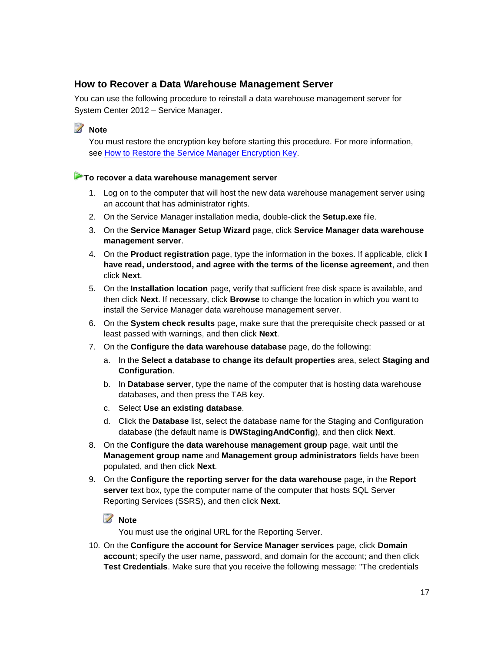## <span id="page-16-0"></span>**How to Recover a Data Warehouse Management Server**

You can use the following procedure to reinstall a data warehouse management server for System Center 2012 – Service Manager.

#### **Z** Note

<span id="page-16-1"></span>You must restore the encryption key before starting this procedure. For more information, see [How to Restore the Service Manager Encryption Key.](#page-14-1)

#### **To recover a data warehouse management server**

- 1. Log on to the computer that will host the new data warehouse management server using an account that has administrator rights.
- 2. On the Service Manager installation media, double-click the **Setup.exe** file.
- 3. On the **Service Manager Setup Wizard** page, click **Service Manager data warehouse management server**.
- 4. On the **Product registration** page, type the information in the boxes. If applicable, click **I have read, understood, and agree with the terms of the license agreement**, and then click **Next**.
- 5. On the **Installation location** page, verify that sufficient free disk space is available, and then click **Next**. If necessary, click **Browse** to change the location in which you want to install the Service Manager data warehouse management server.
- 6. On the **System check results** page, make sure that the prerequisite check passed or at least passed with warnings, and then click **Next**.
- 7. On the **Configure the data warehouse database** page, do the following:
	- a. In the **Select a database to change its default properties** area, select **Staging and Configuration**.
	- b. In **Database server**, type the name of the computer that is hosting data warehouse databases, and then press the TAB key.
	- c. Select **Use an existing database**.
	- d. Click the **Database** list, select the database name for the Staging and Configuration database (the default name is **DWStagingAndConfig**), and then click **Next**.
- 8. On the **Configure the data warehouse management group** page, wait until the **Management group name** and **Management group administrators** fields have been populated, and then click **Next**.
- 9. On the **Configure the reporting server for the data warehouse** page, in the **Report server** text box, type the computer name of the computer that hosts SQL Server Reporting Services (SSRS), and then click **Next**.

**Z** Note

You must use the original URL for the Reporting Server.

10. On the **Configure the account for Service Manager services** page, click **Domain account**; specify the user name, password, and domain for the account; and then click **Test Credentials**. Make sure that you receive the following message: "The credentials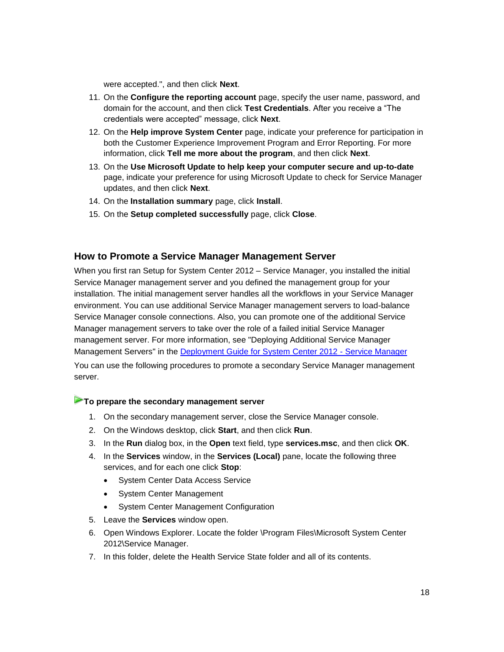were accepted.", and then click **Next**.

- 11. On the **Configure the reporting account** page, specify the user name, password, and domain for the account, and then click **Test Credentials**. After you receive a "The credentials were accepted" message, click **Next**.
- 12. On the **Help improve System Center** page, indicate your preference for participation in both the Customer Experience Improvement Program and Error Reporting. For more information, click **Tell me more about the program**, and then click **Next**.
- 13. On the **Use Microsoft Update to help keep your computer secure and up-to-date** page, indicate your preference for using Microsoft Update to check for Service Manager updates, and then click **Next**.
- 14. On the **Installation summary** page, click **Install**.
- <span id="page-17-1"></span>15. On the **Setup completed successfully** page, click **Close**.

### <span id="page-17-0"></span>**How to Promote a Service Manager Management Server**

When you first ran Setup for System Center 2012 – Service Manager, you installed the initial Service Manager management server and you defined the management group for your installation. The initial management server handles all the workflows in your Service Manager environment. You can use additional Service Manager management servers to load-balance Service Manager console connections. Also, you can promote one of the additional Service Manager management servers to take over the role of a failed initial Service Manager management server. For more information, see "Deploying Additional Service Manager Management Servers" in the [Deployment Guide for System Center 2012 -](http://go.microsoft.com/fwlink/p/?LinkId=209670) Service Manager You can use the following procedures to promote a secondary Service Manager management server.

#### **To prepare the secondary management server**

- 1. On the secondary management server, close the Service Manager console.
- 2. On the Windows desktop, click **Start**, and then click **Run**.
- 3. In the **Run** dialog box, in the **Open** text field, type **services.msc**, and then click **OK**.
- 4. In the **Services** window, in the **Services (Local)** pane, locate the following three services, and for each one click **Stop**:
	- System Center Data Access Service
	- System Center Management
	- System Center Management Configuration
- 5. Leave the **Services** window open.
- 6. Open Windows Explorer. Locate the folder \Program Files\Microsoft System Center 2012\Service Manager.
- 7. In this folder, delete the Health Service State folder and all of its contents.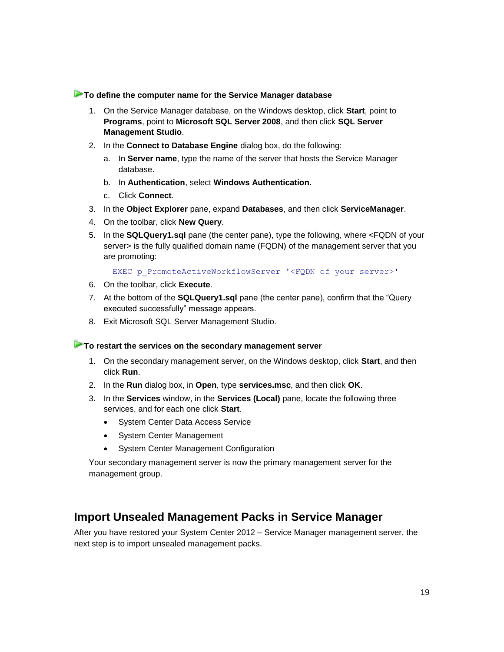#### **To define the computer name for the Service Manager database**

- 1. On the Service Manager database, on the Windows desktop, click **Start**, point to **Programs**, point to **Microsoft SQL Server 2008**, and then click **SQL Server Management Studio**.
- 2. In the **Connect to Database Engine** dialog box, do the following:
	- a. In **Server name**, type the name of the server that hosts the Service Manager database.
	- b. In **Authentication**, select **Windows Authentication**.
	- c. Click **Connect**.
- 3. In the **Object Explorer** pane, expand **Databases**, and then click **ServiceManager**.
- 4. On the toolbar, click **New Query**.
- 5. In the **SQLQuery1.sql** pane (the center pane), type the following, where <FQDN of your server> is the fully qualified domain name (FQDN) of the management server that you are promoting:

EXEC p\_PromoteActiveWorkflowServer '<FQDN of your server>'

- 6. On the toolbar, click **Execute**.
- 7. At the bottom of the **SQLQuery1.sql** pane (the center pane), confirm that the "Query executed successfully" message appears.
- 8. Exit Microsoft SQL Server Management Studio.

### **To restart the services on the secondary management server**

- 1. On the secondary management server, on the Windows desktop, click **Start**, and then click **Run**.
- 2. In the **Run** dialog box, in **Open**, type **services.msc**, and then click **OK**.
- 3. In the **Services** window, in the **Services (Local)** pane, locate the following three services, and for each one click **Start**.
	- System Center Data Access Service
	- System Center Management
	- System Center Management Configuration

<span id="page-18-1"></span>Your secondary management server is now the primary management server for the management group.

## <span id="page-18-0"></span>**Import Unsealed Management Packs in Service Manager**

After you have restored your System Center 2012 – Service Manager management server, the next step is to import unsealed management packs.